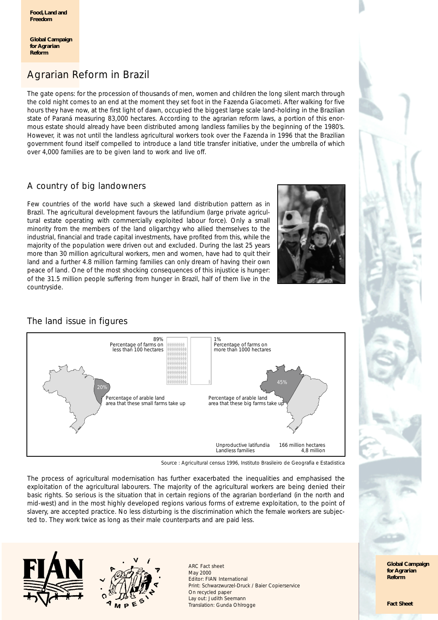**Global Campaign for Agrarian Reform**

# Agrarian Reform in Brazil

The gate opens: for the procession of thousands of men, women and children the long silent march through the cold night comes to an end at the moment they set foot in the Fazenda Giacometi. After walking for five hours they have now, at the first light of dawn, occupied the biggest large scale land-holding in the Brazilian state of Paraná measuring 83,000 hectares. According to the agrarian reform laws, a portion of this enormous estate should already have been distributed among landless families by the beginning of the 1980's. However, it was not until the landless agricultural workers took over the Fazenda in 1996 that the Brazilian government found itself compelled to introduce a land title transfer initiative, under the umbrella of which over 4,000 families are to be given land to work and live off.

# A country of big landowners

Few countries of the world have such a skewed land distribution pattern as in Brazil. The agricultural development favours the latifundium (large private agricultural estate operating with commercially exploited labour force). Only a small minority from the members of the land oligarchgy who allied themselves to the industrial, financial and trade capital investments, have profited from this, while the majority of the population were driven out and excluded. During the last 25 years more than 30 million agricultural workers, men and women, have had to quit their land and a further 4.8 million farming families can only dream of having their own peace of land. One of the most shocking consequences of this injustice is hunger: of the 31.5 million people suffering from hunger in Brazil, half of them live in the countryside.



# The land issue in figures



Source : Agricultural census 1996, Instituto Brasileiro de Geografia e Estadistica

The process of agricultural modernisation has further exacerbated the inequalities and emphasised the exploitation of the agricultural labourers. The majority of the agricultural workers are being denied their basic rights. So serious is the situation that in certain regions of the agrarian borderland (in the north and mid-west) and in the most highly developed regions various forms of extreme exploitation, to the point of slavery, are accepted practice. No less disturbing is the discrimination which the female workers are subjected to. They work twice as long as their male counterparts and are paid less.





ARC Fact sheet May 2000 Editor: FIAN International Print: Schwarzwurzel-Druck / Baier Copierservice On recycled paper Lay out: Judith Seemann Translation: Gunda Ohlrogge



**Global Campaign for Agrarian Reform**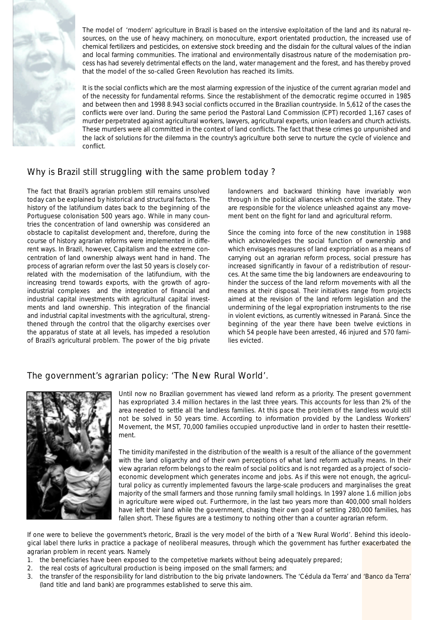

The model of 'modern' agriculture in Brazil is based on the intensive exploitation of the land and its natural resources, on the use of heavy machinery, on monoculture, export orientated production, the increased use of chemical fertilizers and pesticides, on extensive stock breeding and the disdain for the cultural values of the indian and local farming communities. The irrational and environmentally disastrous nature of the modernisation process has had severely detrimental effects on the land, water management and the forest, and has thereby proved that the model of the so-called Green Revolution has reached its limits.

It is the social conflicts which are the most alarming expression of the injustice of the current agrarian model and of the necessity for fundamental reforms. Since the restablishment of the democratic regime occurred in 1985 and between then and 1998 8.943 social conflicts occurred in the Brazilian countryside. In 5,612 of the cases the conflicts were over land. During the same period the Pastoral Land Commission (CPT) recorded 1,167 cases of murder perpetrated against agricultural workers, lawyers, agricultural experts, union leaders and church activists. These murders were all committed in the context of land conflicts. The fact that these crimes go unpunished and the lack of solutions for the dilemma in the country's agriculture both serve to nurture the cycle of violence and conflict.

# Why is Brazil still struggling with the same problem today ?

The fact that Brazil's agrarian problem still remains unsolved today can be explained by historical and structural factors. The history of the latifundium dates back to the beginning of the Portuguese colonisation 500 years ago. While in many countries the concentration of land ownership was considered an obstacle to capitalist development and, therefore, during the course of history agrarian reforms were implemented in different ways. In Brazil, however, Capitalism and the extreme concentration of land ownership always went hand in hand. The process of agrarian reform over the last 50 years is closely correlated with the modernisation of the latifundium, with the increasing trend towards exports, with the growth of agroindustrial complexes and the integration of financial and industrial capital investments with agricultural capital investments and land ownership. This integration of the financial and industrial capital investments with the agricultural, strengthened through the control that the oligarchy exercises over the apparatus of state at all levels, has impeded a resolution of Brazil's agricultural problem. The power of the big private landowners and backward thinking have invariably won through in the political alliances which control the state. They are responsible for the violence unleashed against any movement bent on the fight for land and agricultural reform.

Since the coming into force of the new constitution in 1988 which acknowledges the social function of ownership and which envisages measures of land expropriation as a means of carrying out an agrarian reform process, social pressure has increased significantly in favour of a redistribution of resources. At the same time the big landowners are endeavouring to hinder the success of the land reform movements with all the means at their disposal. Their initiatives range from projects aimed at the revision of the land reform legislation and the undermining of the legal expropriation instruments to the rise in violent evictions, as currently witnessed in Paraná. Since the beginning of the year there have been twelve evictions in which 54 people have been arrested, 46 injured and 570 families evicted.

## The government's agrarian policy: 'The New Rural World'.



Until now no Brazilian government has viewed land reform as a priority. The present government has expropriated 3.4 million hectares in the last three years. This accounts for less than 2% of the area needed to settle all the landless families. At this pace the problem of the landless would still not be solved in 50 years time. According to information provided by the Landless Workers' Movement, the MST, 70,000 families occupied unproductive land in order to hasten their resettlement.

The timidity manifested in the distribution of the wealth is a result of the alliance of the government with the land oligarchy and of their own perceptions of what land reform actually means. In their view agrarian reform belongs to the realm of social politics and is not regarded as a project of socioeconomic development which generates income and jobs. As if this were not enough, the agricultural policy as currently implemented favours the large-scale producers and marginalises the great majority of the small farmers and those running family small holdings. In 1997 alone 1.6 million jobs in agriculture were wiped out. Furthermore, in the last two years more than 400,000 small holders have left their land while the government, chasing their own goal of settling 280,000 families, has fallen short. These figures are a testimony to nothing other than a *counter agrarian reform.*

If one were to believe the government's rhetoric, Brazil is the very model of the birth of a 'New Rural World'. Behind this ideological label there lurks in practice a package of neoliberal measures, through which the government has further exacerbated the agrarian problem in recent years. Namely

- 1. the beneficiaries have been exposed to the competetive markets without being adequately prepared;
- 2. the real costs of agricultural production is being imposed on the small farmers; and
- 3. the transfer of the responsibility for land distribution to the big private landowners. The 'Cédula da Terra' and 'Banco da Terra' (land title and land bank) are programmes established to serve this aim.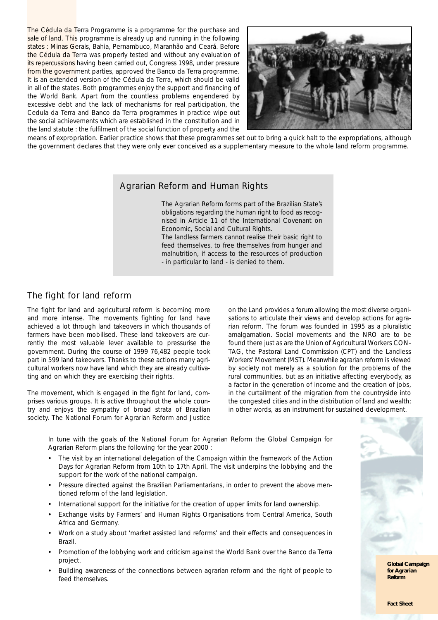The Cédula da Terra Programme is a programme for the purchase and sale of land. This programme is already up and running in the following states : Minas Gerais, Bahia, Pernambuco, Maranhão and Ceará. Before the Cédula da Terra was properly tested and without any evaluation of its repercussions having been carried out, Congress 1998, under pressure from the government parties, approved the Banco da Terra programme. It is an extended version of the Cédula da Terra, which should be valid in all of the states. Both programmes enjoy the support and financing of the World Bank. Apart from the countless problems engendered by excessive debt and the lack of mechanisms for real participation, the Cedula da Terra and Banco da Terra programmes in practice wipe out the social achievements which are established in the constitution and in the land statute : the fulfilment of the social function of property and the



means of expropriation. Earlier practice shows that these programmes set out to bring a quick halt to the expropriations, although the government declares that they were only ever conceived as a supplementary measure to the whole land reform programme.

#### Agrarian Reform and Human Rights

The Agrarian Reform forms part of the Brazilian State's obligations regarding the human right to food as recognised in Article 11 of the International Covenant on Economic, Social and Cultural Rights.

The landless farmers cannot realise their basic right to feed themselves, to free themselves from hunger and malnutrition, if access to the resources of production - in particular to land - is denied to them.

### The fight for land reform

The fight for land and agricultural reform is becoming more and more intense. The movements fighting for land have achieved a lot through land takeovers in which thousands of farmers have been mobilised. These land takeovers are currently the most valuable lever available to pressurise the government. During the course of 1999 76,482 people took part in 599 land takeovers. Thanks to these actions many agricultural workers now have land which they are already cultivating and on which they are exercising their rights.

The movement, which is engaged in the fight for land, comprises various groups. It is active throughout the whole country and enjoys the sympathy of broad strata of Brazilian society. The National Forum for Agrarian Reform and Justice on the Land provides a forum allowing the most diverse organisations to articulate their views and develop actions for agrarian reform. The forum was founded in 1995 as a pluralistic amalgamation. Social movements and the NRO are to be found there just as are the Union of Agricultural Workers CON-TAG, the Pastoral Land Commission (CPT) and the Landless Workers' Movement (MST). Meanwhile agrarian reform is viewed by society not merely as a solution for the problems of the rural communities, but as an initiative affecting everybody, as a factor in the generation of income and the creation of jobs, in the curtailment of the migration from the countryside into the congested cities and in the distribution of land and wealth; in other words, as an instrument for sustained development.

In tune with the goals of the National Forum for Agrarian Reform the Global Campaign for Agrarian Reform plans the following for the year 2000 :

- - The visit by an international delegation of the Campaign within the framework of the Action Days for Agrarian Reform from 10th to 17th April. The visit underpins the lobbying and the support for the work of the national campaign.
- - Pressure directed against the Brazilian Parliamentarians, in order to prevent the above mentioned reform of the land legislation.
- -International support for the initiative for the creation of upper limits for land ownership.
- - Exchange visits by Farmers' and Human Rights Organisations from Central America, South Africa and Germany.
- - Work on a study about 'market assisted land reforms' and their effects and consequences in Brazil.
- - Promotion of the lobbying work and criticism against the World Bank over the Banco da Terra project.
- - Building awareness of the connections between agrarian reform and the right of people to feed themselves.



**Global Campaign for Agrarian Reform**